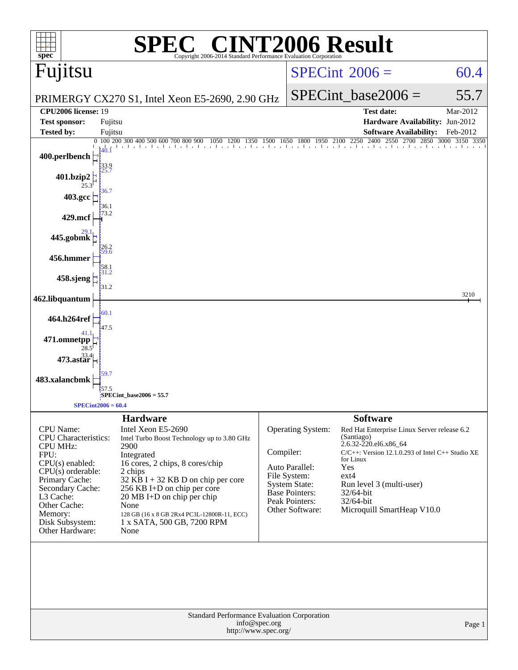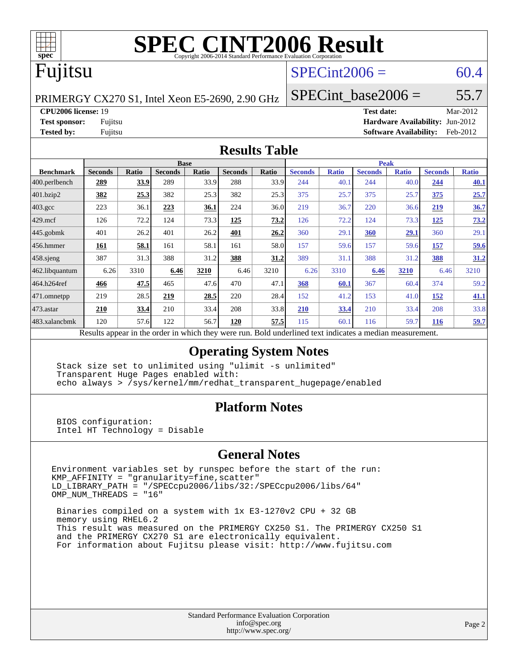

# **[SPEC CINT2006 Result](http://www.spec.org/auto/cpu2006/Docs/result-fields.html#SPECCINT2006Result)**

# Fujitsu

## $SPECint2006 = 60.4$  $SPECint2006 = 60.4$

PRIMERGY CX270 S1, Intel Xeon E5-2690, 2.90 GHz

SPECint base2006 =  $55.7$ 

**[CPU2006 license:](http://www.spec.org/auto/cpu2006/Docs/result-fields.html#CPU2006license)** 19 **[Test date:](http://www.spec.org/auto/cpu2006/Docs/result-fields.html#Testdate)** Mar-2012

**[Test sponsor:](http://www.spec.org/auto/cpu2006/Docs/result-fields.html#Testsponsor)** Fujitsu **[Hardware Availability:](http://www.spec.org/auto/cpu2006/Docs/result-fields.html#HardwareAvailability)** Jun-2012 **[Tested by:](http://www.spec.org/auto/cpu2006/Docs/result-fields.html#Testedby)** Fujitsu **[Software Availability:](http://www.spec.org/auto/cpu2006/Docs/result-fields.html#SoftwareAvailability)** Feb-2012

#### **[Results Table](http://www.spec.org/auto/cpu2006/Docs/result-fields.html#ResultsTable)**

|                                                                                                          | <b>Base</b>    |              |                |       |                | <b>Peak</b> |                |              |                |              |                |              |
|----------------------------------------------------------------------------------------------------------|----------------|--------------|----------------|-------|----------------|-------------|----------------|--------------|----------------|--------------|----------------|--------------|
| <b>Benchmark</b>                                                                                         | <b>Seconds</b> | <b>Ratio</b> | <b>Seconds</b> | Ratio | <b>Seconds</b> | Ratio       | <b>Seconds</b> | <b>Ratio</b> | <b>Seconds</b> | <b>Ratio</b> | <b>Seconds</b> | <b>Ratio</b> |
| $ 400$ .perlbench                                                                                        | 289            | 33.9         | 289            | 33.9  | 288            | 33.9        | 244            | 40.1         | 244            | 40.0         | 244            | 40.1         |
| 401.bzip2                                                                                                | <u>382</u>     | 25.3         | 382            | 25.3  | 382            | 25.3        | 375            | 25.7         | 375            | 25.7         | 375            | 25.7         |
| $403.\mathrm{gcc}$                                                                                       | 223            | 36.1         | 223            | 36.1  | 224            | 36.0        | 219            | 36.7         | 220            | 36.6         | 219            | 36.7         |
| $429$ .mcf                                                                                               | 126            | 72.2         | 124            | 73.3  | 125            | 73.2        | 126            | 72.2         | 124            | 73.3         | 125            | 73.2         |
| $445$ .gobmk                                                                                             | 401            | 26.2         | 401            | 26.2  | 401            | 26.2        | 360            | 29.1         | 360            | 29.1         | 360            | 29.1         |
| $456.$ hmmer                                                                                             | <u>161</u>     | <u>58.1</u>  | 161            | 58.1  | 161            | 58.0        | 157            | 59.6         | 157            | 59.6         | <u>157</u>     | 59.6         |
| $458$ .sjeng                                                                                             | 387            | 31.3         | 388            | 31.2  | 388            | 31.2        | 389            | 31.1         | 388            | 31.2         | 388            | 31.2         |
| 462.libquantum                                                                                           | 6.26           | 3310         | 6.46           | 3210  | 6.46           | 3210        | 6.26           | 3310         | 6.46           | 3210         | 6.46           | 3210         |
| 464.h264ref                                                                                              | 466            | 47.5         | 465            | 47.6  | 470            | 47.1        | 368            | 60.1         | 367            | 60.4         | 374            | 59.2         |
| $ 471$ .omnetpp                                                                                          | 219            | 28.5         | 219            | 28.5  | 220            | 28.4        | 152            | 41.2         | 153            | 41.0         | 152            | 41.1         |
| $473$ . astar                                                                                            | 210            | 33.4         | 210            | 33.4  | 208            | 33.8        | 210            | 33.4         | 210            | 33.4         | 208            | 33.8         |
| 483.xalancbmk                                                                                            | 120            | 57.6         | 122            | 56.7  | 120            | 57.5        | 115            | 60.1         | 116            | 59.7         | <b>116</b>     | 59.7         |
| Results appear in the order in which they were run. Bold underlined text indicates a median measurement. |                |              |                |       |                |             |                |              |                |              |                |              |

#### **[Operating System Notes](http://www.spec.org/auto/cpu2006/Docs/result-fields.html#OperatingSystemNotes)**

 Stack size set to unlimited using "ulimit -s unlimited" Transparent Huge Pages enabled with: echo always > /sys/kernel/mm/redhat\_transparent\_hugepage/enabled

#### **[Platform Notes](http://www.spec.org/auto/cpu2006/Docs/result-fields.html#PlatformNotes)**

 BIOS configuration: Intel HT Technology = Disable

#### **[General Notes](http://www.spec.org/auto/cpu2006/Docs/result-fields.html#GeneralNotes)**

Environment variables set by runspec before the start of the run: KMP\_AFFINITY = "granularity=fine,scatter" LD\_LIBRARY\_PATH = "/SPECcpu2006/libs/32:/SPECcpu2006/libs/64" OMP\_NUM\_THREADS = "16"

 Binaries compiled on a system with 1x E3-1270v2 CPU + 32 GB memory using RHEL6.2 This result was measured on the PRIMERGY CX250 S1. The PRIMERGY CX250 S1 and the PRIMERGY CX270 S1 are electronically equivalent. For information about Fujitsu please visit: <http://www.fujitsu.com>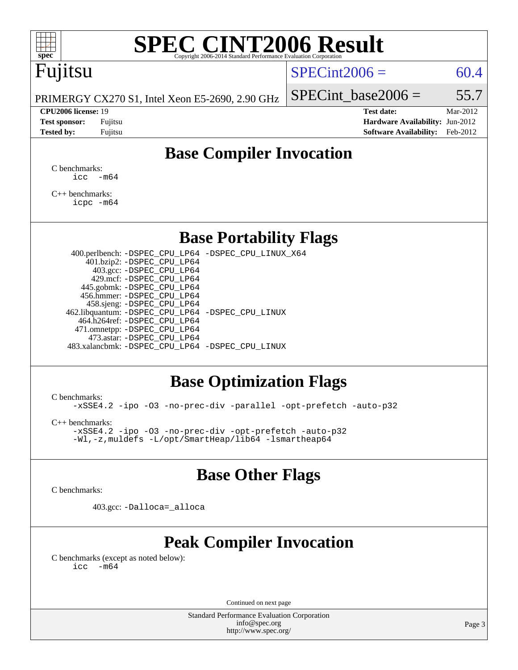# **[SPEC CINT2006 Result](http://www.spec.org/auto/cpu2006/Docs/result-fields.html#SPECCINT2006Result)**

# Fujitsu

### $SPECint2006 = 60.4$  $SPECint2006 = 60.4$

PRIMERGY CX270 S1, Intel Xeon E5-2690, 2.90 GHz

#### **[CPU2006 license:](http://www.spec.org/auto/cpu2006/Docs/result-fields.html#CPU2006license)** 19 **[Test date:](http://www.spec.org/auto/cpu2006/Docs/result-fields.html#Testdate)** Mar-2012

SPECint base2006 =  $55.7$ 

**[Test sponsor:](http://www.spec.org/auto/cpu2006/Docs/result-fields.html#Testsponsor)** Fujitsu **[Hardware Availability:](http://www.spec.org/auto/cpu2006/Docs/result-fields.html#HardwareAvailability)** Jun-2012 **[Tested by:](http://www.spec.org/auto/cpu2006/Docs/result-fields.html#Testedby)** Fujitsu **[Software Availability:](http://www.spec.org/auto/cpu2006/Docs/result-fields.html#SoftwareAvailability)** Feb-2012

## **[Base Compiler Invocation](http://www.spec.org/auto/cpu2006/Docs/result-fields.html#BaseCompilerInvocation)**

[C benchmarks](http://www.spec.org/auto/cpu2006/Docs/result-fields.html#Cbenchmarks):  $\text{icc}$   $-\text{m64}$ 

[C++ benchmarks:](http://www.spec.org/auto/cpu2006/Docs/result-fields.html#CXXbenchmarks) [icpc -m64](http://www.spec.org/cpu2006/results/res2012q3/cpu2006-20120620-23140.flags.html#user_CXXbase_intel_icpc_64bit_fc66a5337ce925472a5c54ad6a0de310)

### **[Base Portability Flags](http://www.spec.org/auto/cpu2006/Docs/result-fields.html#BasePortabilityFlags)**

 400.perlbench: [-DSPEC\\_CPU\\_LP64](http://www.spec.org/cpu2006/results/res2012q3/cpu2006-20120620-23140.flags.html#b400.perlbench_basePORTABILITY_DSPEC_CPU_LP64) [-DSPEC\\_CPU\\_LINUX\\_X64](http://www.spec.org/cpu2006/results/res2012q3/cpu2006-20120620-23140.flags.html#b400.perlbench_baseCPORTABILITY_DSPEC_CPU_LINUX_X64) 401.bzip2: [-DSPEC\\_CPU\\_LP64](http://www.spec.org/cpu2006/results/res2012q3/cpu2006-20120620-23140.flags.html#suite_basePORTABILITY401_bzip2_DSPEC_CPU_LP64) 403.gcc: [-DSPEC\\_CPU\\_LP64](http://www.spec.org/cpu2006/results/res2012q3/cpu2006-20120620-23140.flags.html#suite_basePORTABILITY403_gcc_DSPEC_CPU_LP64) 429.mcf: [-DSPEC\\_CPU\\_LP64](http://www.spec.org/cpu2006/results/res2012q3/cpu2006-20120620-23140.flags.html#suite_basePORTABILITY429_mcf_DSPEC_CPU_LP64) 445.gobmk: [-DSPEC\\_CPU\\_LP64](http://www.spec.org/cpu2006/results/res2012q3/cpu2006-20120620-23140.flags.html#suite_basePORTABILITY445_gobmk_DSPEC_CPU_LP64) 456.hmmer: [-DSPEC\\_CPU\\_LP64](http://www.spec.org/cpu2006/results/res2012q3/cpu2006-20120620-23140.flags.html#suite_basePORTABILITY456_hmmer_DSPEC_CPU_LP64) 458.sjeng: [-DSPEC\\_CPU\\_LP64](http://www.spec.org/cpu2006/results/res2012q3/cpu2006-20120620-23140.flags.html#suite_basePORTABILITY458_sjeng_DSPEC_CPU_LP64) 462.libquantum: [-DSPEC\\_CPU\\_LP64](http://www.spec.org/cpu2006/results/res2012q3/cpu2006-20120620-23140.flags.html#suite_basePORTABILITY462_libquantum_DSPEC_CPU_LP64) [-DSPEC\\_CPU\\_LINUX](http://www.spec.org/cpu2006/results/res2012q3/cpu2006-20120620-23140.flags.html#b462.libquantum_baseCPORTABILITY_DSPEC_CPU_LINUX) 464.h264ref: [-DSPEC\\_CPU\\_LP64](http://www.spec.org/cpu2006/results/res2012q3/cpu2006-20120620-23140.flags.html#suite_basePORTABILITY464_h264ref_DSPEC_CPU_LP64) 471.omnetpp: [-DSPEC\\_CPU\\_LP64](http://www.spec.org/cpu2006/results/res2012q3/cpu2006-20120620-23140.flags.html#suite_basePORTABILITY471_omnetpp_DSPEC_CPU_LP64) 473.astar: [-DSPEC\\_CPU\\_LP64](http://www.spec.org/cpu2006/results/res2012q3/cpu2006-20120620-23140.flags.html#suite_basePORTABILITY473_astar_DSPEC_CPU_LP64) 483.xalancbmk: [-DSPEC\\_CPU\\_LP64](http://www.spec.org/cpu2006/results/res2012q3/cpu2006-20120620-23140.flags.html#suite_basePORTABILITY483_xalancbmk_DSPEC_CPU_LP64) [-DSPEC\\_CPU\\_LINUX](http://www.spec.org/cpu2006/results/res2012q3/cpu2006-20120620-23140.flags.html#b483.xalancbmk_baseCXXPORTABILITY_DSPEC_CPU_LINUX)

## **[Base Optimization Flags](http://www.spec.org/auto/cpu2006/Docs/result-fields.html#BaseOptimizationFlags)**

[C benchmarks](http://www.spec.org/auto/cpu2006/Docs/result-fields.html#Cbenchmarks):

[-xSSE4.2](http://www.spec.org/cpu2006/results/res2012q3/cpu2006-20120620-23140.flags.html#user_CCbase_f-xSSE42_f91528193cf0b216347adb8b939d4107) [-ipo](http://www.spec.org/cpu2006/results/res2012q3/cpu2006-20120620-23140.flags.html#user_CCbase_f-ipo) [-O3](http://www.spec.org/cpu2006/results/res2012q3/cpu2006-20120620-23140.flags.html#user_CCbase_f-O3) [-no-prec-div](http://www.spec.org/cpu2006/results/res2012q3/cpu2006-20120620-23140.flags.html#user_CCbase_f-no-prec-div) [-parallel](http://www.spec.org/cpu2006/results/res2012q3/cpu2006-20120620-23140.flags.html#user_CCbase_f-parallel) [-opt-prefetch](http://www.spec.org/cpu2006/results/res2012q3/cpu2006-20120620-23140.flags.html#user_CCbase_f-opt-prefetch) [-auto-p32](http://www.spec.org/cpu2006/results/res2012q3/cpu2006-20120620-23140.flags.html#user_CCbase_f-auto-p32)

[C++ benchmarks:](http://www.spec.org/auto/cpu2006/Docs/result-fields.html#CXXbenchmarks)

[-xSSE4.2](http://www.spec.org/cpu2006/results/res2012q3/cpu2006-20120620-23140.flags.html#user_CXXbase_f-xSSE42_f91528193cf0b216347adb8b939d4107) [-ipo](http://www.spec.org/cpu2006/results/res2012q3/cpu2006-20120620-23140.flags.html#user_CXXbase_f-ipo) [-O3](http://www.spec.org/cpu2006/results/res2012q3/cpu2006-20120620-23140.flags.html#user_CXXbase_f-O3) [-no-prec-div](http://www.spec.org/cpu2006/results/res2012q3/cpu2006-20120620-23140.flags.html#user_CXXbase_f-no-prec-div) [-opt-prefetch](http://www.spec.org/cpu2006/results/res2012q3/cpu2006-20120620-23140.flags.html#user_CXXbase_f-opt-prefetch) [-auto-p32](http://www.spec.org/cpu2006/results/res2012q3/cpu2006-20120620-23140.flags.html#user_CXXbase_f-auto-p32) [-Wl,-z,muldefs](http://www.spec.org/cpu2006/results/res2012q3/cpu2006-20120620-23140.flags.html#user_CXXbase_link_force_multiple1_74079c344b956b9658436fd1b6dd3a8a) [-L/opt/SmartHeap/lib64 -lsmartheap64](http://www.spec.org/cpu2006/results/res2012q3/cpu2006-20120620-23140.flags.html#user_CXXbase_SmartHeap64_266ceb2583dc48f7c0309f7f0a158901)

## **[Base Other Flags](http://www.spec.org/auto/cpu2006/Docs/result-fields.html#BaseOtherFlags)**

[C benchmarks](http://www.spec.org/auto/cpu2006/Docs/result-fields.html#Cbenchmarks):

403.gcc: [-Dalloca=\\_alloca](http://www.spec.org/cpu2006/results/res2012q3/cpu2006-20120620-23140.flags.html#b403.gcc_baseEXTRA_CFLAGS_Dalloca_be3056838c12de2578596ca5467af7f3)

## **[Peak Compiler Invocation](http://www.spec.org/auto/cpu2006/Docs/result-fields.html#PeakCompilerInvocation)**

[C benchmarks \(except as noted below\)](http://www.spec.org/auto/cpu2006/Docs/result-fields.html#Cbenchmarksexceptasnotedbelow):  $\text{icc}$  -m64

Continued on next page

Standard Performance Evaluation Corporation [info@spec.org](mailto:info@spec.org) <http://www.spec.org/>

Page 3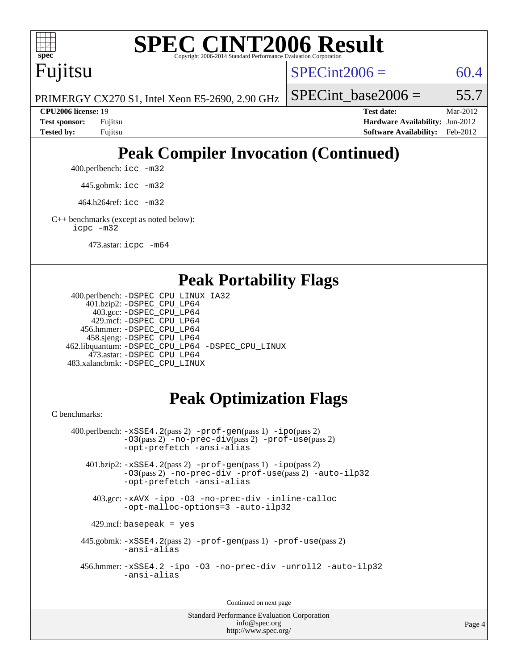

# **[SPEC CINT2006 Result](http://www.spec.org/auto/cpu2006/Docs/result-fields.html#SPECCINT2006Result)**

Fujitsu

 $SPECint2006 = 60.4$  $SPECint2006 = 60.4$ 

PRIMERGY CX270 S1, Intel Xeon E5-2690, 2.90 GHz

SPECint base2006 =  $55.7$ 

**[CPU2006 license:](http://www.spec.org/auto/cpu2006/Docs/result-fields.html#CPU2006license)** 19 **[Test date:](http://www.spec.org/auto/cpu2006/Docs/result-fields.html#Testdate)** Mar-2012 **[Test sponsor:](http://www.spec.org/auto/cpu2006/Docs/result-fields.html#Testsponsor)** Fujitsu **[Hardware Availability:](http://www.spec.org/auto/cpu2006/Docs/result-fields.html#HardwareAvailability)** Jun-2012 **[Tested by:](http://www.spec.org/auto/cpu2006/Docs/result-fields.html#Testedby)** Fujitsu **[Software Availability:](http://www.spec.org/auto/cpu2006/Docs/result-fields.html#SoftwareAvailability)** Feb-2012

# **[Peak Compiler Invocation \(Continued\)](http://www.spec.org/auto/cpu2006/Docs/result-fields.html#PeakCompilerInvocation)**

400.perlbench: [icc -m32](http://www.spec.org/cpu2006/results/res2012q3/cpu2006-20120620-23140.flags.html#user_peakCCLD400_perlbench_intel_icc_a6a621f8d50482236b970c6ac5f55f93)

445.gobmk: [icc -m32](http://www.spec.org/cpu2006/results/res2012q3/cpu2006-20120620-23140.flags.html#user_peakCCLD445_gobmk_intel_icc_a6a621f8d50482236b970c6ac5f55f93)

464.h264ref: [icc -m32](http://www.spec.org/cpu2006/results/res2012q3/cpu2006-20120620-23140.flags.html#user_peakCCLD464_h264ref_intel_icc_a6a621f8d50482236b970c6ac5f55f93)

[C++ benchmarks \(except as noted below\):](http://www.spec.org/auto/cpu2006/Docs/result-fields.html#CXXbenchmarksexceptasnotedbelow) [icpc -m32](http://www.spec.org/cpu2006/results/res2012q3/cpu2006-20120620-23140.flags.html#user_CXXpeak_intel_icpc_4e5a5ef1a53fd332b3c49e69c3330699)

473.astar: [icpc -m64](http://www.spec.org/cpu2006/results/res2012q3/cpu2006-20120620-23140.flags.html#user_peakCXXLD473_astar_intel_icpc_64bit_fc66a5337ce925472a5c54ad6a0de310)

## **[Peak Portability Flags](http://www.spec.org/auto/cpu2006/Docs/result-fields.html#PeakPortabilityFlags)**

```
 400.perlbench: -DSPEC_CPU_LINUX_IA32
    401.bzip2: -DSPEC_CPU_LP64
      403.gcc: -DSPEC_CPU_LP64
     429.mcf: -DSPEC_CPU_LP64
   456.hmmer: -DSPEC_CPU_LP64
    458.sjeng: -DSPEC_CPU_LP64
462.libquantum: -DSPEC_CPU_LP64 -DSPEC_CPU_LINUX
     473.astar: -DSPEC_CPU_LP64
483.xalancbmk: -DSPEC_CPU_LINUX
```
## **[Peak Optimization Flags](http://www.spec.org/auto/cpu2006/Docs/result-fields.html#PeakOptimizationFlags)**

[C benchmarks](http://www.spec.org/auto/cpu2006/Docs/result-fields.html#Cbenchmarks):

```
 400.perlbench: -xSSE4.2(pass 2) -prof-gen(pass 1) -ipo(pass 2)
           -O3(pass 2) -no-prec-div(pass 2) -prof-use(pass 2)
          -opt-prefetch -ansi-alias
   401.bzip2: -xSSE4.2(pass 2) -prof-gen(pass 1) -ipo(pass 2)
           -O3(pass 2) -no-prec-div -prof-use(pass 2) -auto-ilp32
           -opt-prefetch -ansi-alias
    403.gcc: -xAVX -ipo -O3 -no-prec-div -inline-calloc
           -opt-malloc-options=3 -auto-ilp32
   429.mcf: basepeak = yes
  445.gobmk: -xSSE4.2(pass 2) -prof-gen(pass 1) -prof-use(pass 2)
           -ansi-alias
  456.hmmer: -xSSE4.2 -ipo -O3 -no-prec-div -unroll2 -auto-ilp32
           -ansi-alias
```
Continued on next page

Standard Performance Evaluation Corporation [info@spec.org](mailto:info@spec.org) <http://www.spec.org/>